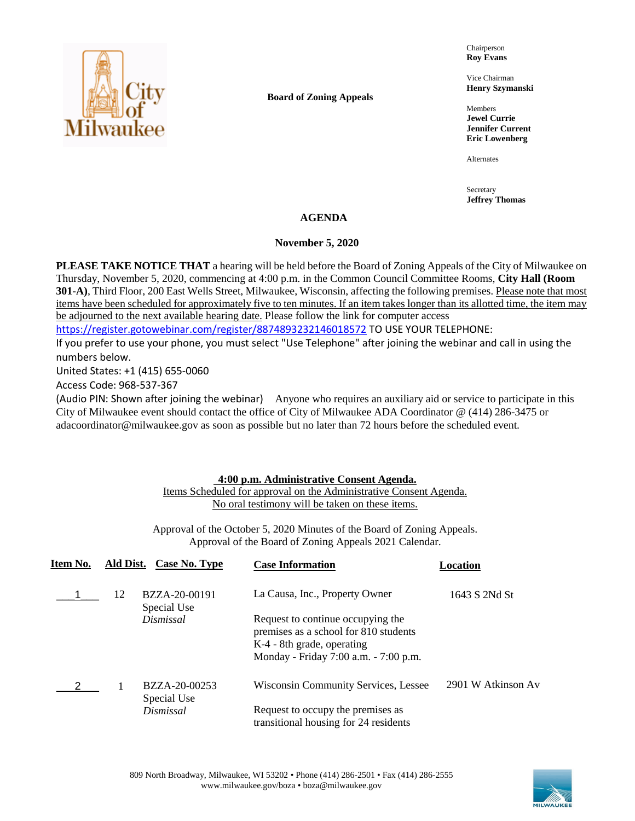

**Board of Zoning Appeals**

Chairperson **Roy Evans**

Vice Chairman **Henry Szymanski**

Members **Jewel Currie Jennifer Current Eric Lowenberg**

Alternates

Secretary **Jeffrey Thomas**

# **AGENDA**

#### **November 5, 2020**

**PLEASE TAKE NOTICE THAT** a hearing will be held before the Board of Zoning Appeals of the City of Milwaukee on Thursday, November 5, 2020, commencing at 4:00 p.m. in the Common Council Committee Rooms, **City Hall (Room 301-A)**, Third Floor, 200 East Wells Street, Milwaukee, Wisconsin, affecting the following premises. Please note that most items have been scheduled for approximately five to ten minutes. If an item takes longer than its allotted time, the item may be adjourned to the next available hearing date. Please follow the link for computer access <https://register.gotowebinar.com/register/8874893232146018572> TO USE YOUR TELEPHONE:

If you prefer to use your phone, you must select "Use Telephone" after joining the webinar and call in using the numbers below.

United States: +1 (415) 655-0060

Access Code: 968-537-367

(Audio PIN: Shown after joining the webinar) Anyone who requires an auxiliary aid or service to participate in this City of Milwaukee event should contact the office of City of Milwaukee ADA Coordinator @ (414) 286-3475 or adacoordinator@milwaukee.gov as soon as possible but no later than 72 hours before the scheduled event.

# **4:00 p.m. Administrative Consent Agenda.**

Items Scheduled for approval on the Administrative Consent Agenda. No oral testimony will be taken on these items.

Approval of the October 5, 2020 Minutes of the Board of Zoning Appeals. Approval of the Board of Zoning Appeals 2021 Calendar.

| Item No. | Ald Dist. | Case No. Type                | <b>Case Information</b>                                                                                  | Location           |
|----------|-----------|------------------------------|----------------------------------------------------------------------------------------------------------|--------------------|
|          | 12        | BZZA-20-00191<br>Special Use | La Causa, Inc., Property Owner                                                                           | 1643 S 2Nd St      |
|          |           | Dismissal                    | Request to continue occupying the<br>premises as a school for 810 students<br>K-4 - 8th grade, operating |                    |
|          |           |                              | Monday - Friday 7:00 a.m. - 7:00 p.m.                                                                    |                    |
|          |           | BZZA-20-00253<br>Special Use | Wisconsin Community Services, Lessee                                                                     | 2901 W Atkinson Av |
|          |           | Dismissal                    | Request to occupy the premises as                                                                        |                    |
|          |           |                              | transitional housing for 24 residents                                                                    |                    |

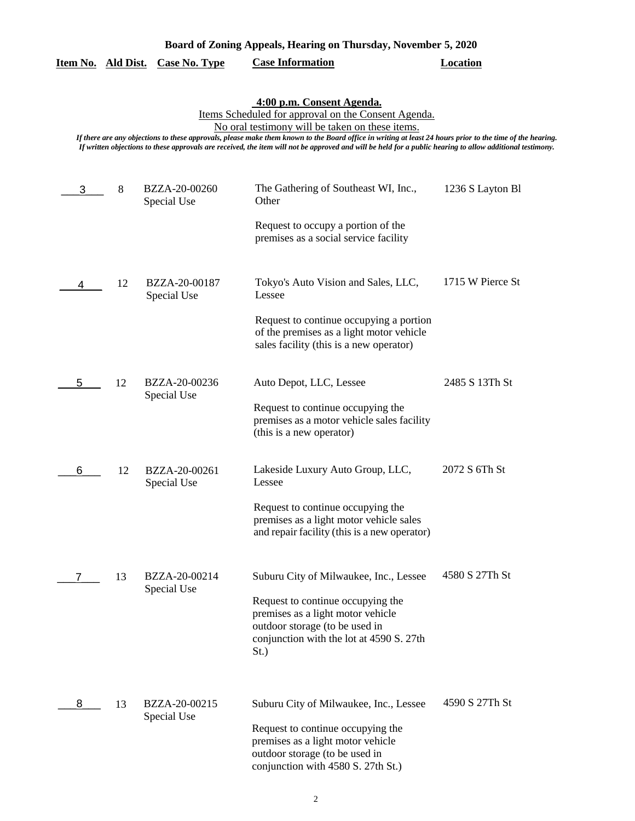|   |    | <u>Item No. Ald Dist. Case No. Type</u> | <b>Case Information</b>                                                                                                                                                                                                                                                                                                                                                                                                                                       | <b>Location</b>  |
|---|----|-----------------------------------------|---------------------------------------------------------------------------------------------------------------------------------------------------------------------------------------------------------------------------------------------------------------------------------------------------------------------------------------------------------------------------------------------------------------------------------------------------------------|------------------|
|   |    |                                         | 4:00 p.m. Consent Agenda.<br>Items Scheduled for approval on the Consent Agenda.<br>No oral testimony will be taken on these items.<br>If there are any objections to these approvals, please make them known to the Board office in writing at least 24 hours prior to the time of the hearing.<br>If written objections to these approvals are received, the item will not be approved and will be held for a public hearing to allow additional testimony. |                  |
| 3 | 8  | BZZA-20-00260<br>Special Use            | The Gathering of Southeast WI, Inc.,<br>Other                                                                                                                                                                                                                                                                                                                                                                                                                 | 1236 S Layton Bl |
|   |    |                                         | Request to occupy a portion of the<br>premises as a social service facility                                                                                                                                                                                                                                                                                                                                                                                   |                  |
| 4 | 12 | BZZA-20-00187<br>Special Use            | Tokyo's Auto Vision and Sales, LLC,<br>Lessee                                                                                                                                                                                                                                                                                                                                                                                                                 | 1715 W Pierce St |
|   |    |                                         | Request to continue occupying a portion<br>of the premises as a light motor vehicle<br>sales facility (this is a new operator)                                                                                                                                                                                                                                                                                                                                |                  |
| 5 | 12 | BZZA-20-00236<br>Special Use            | Auto Depot, LLC, Lessee                                                                                                                                                                                                                                                                                                                                                                                                                                       | 2485 S 13Th St   |
|   |    |                                         | Request to continue occupying the<br>premises as a motor vehicle sales facility<br>(this is a new operator)                                                                                                                                                                                                                                                                                                                                                   |                  |
| 6 | 12 | BZZA-20-00261<br>Special Use            | Lakeside Luxury Auto Group, LLC,<br>Lessee                                                                                                                                                                                                                                                                                                                                                                                                                    | 2072 S 6Th St    |
|   |    |                                         | Request to continue occupying the<br>premises as a light motor vehicle sales<br>and repair facility (this is a new operator)                                                                                                                                                                                                                                                                                                                                  |                  |
|   | 13 | BZZA-20-00214<br>Special Use            | Suburu City of Milwaukee, Inc., Lessee                                                                                                                                                                                                                                                                                                                                                                                                                        | 4580 S 27Th St   |
|   |    |                                         | Request to continue occupying the<br>premises as a light motor vehicle<br>outdoor storage (to be used in<br>conjunction with the lot at 4590 S. 27th<br>St.)                                                                                                                                                                                                                                                                                                  |                  |
| 8 | 13 | BZZA-20-00215<br>Special Use            | Suburu City of Milwaukee, Inc., Lessee                                                                                                                                                                                                                                                                                                                                                                                                                        | 4590 S 27Th St   |
|   |    |                                         | Request to continue occupying the<br>premises as a light motor vehicle<br>outdoor storage (to be used in<br>conjunction with 4580 S. 27th St.)                                                                                                                                                                                                                                                                                                                |                  |

**Board of Zoning Appeals, Hearing on Thursday, November 5, 2020**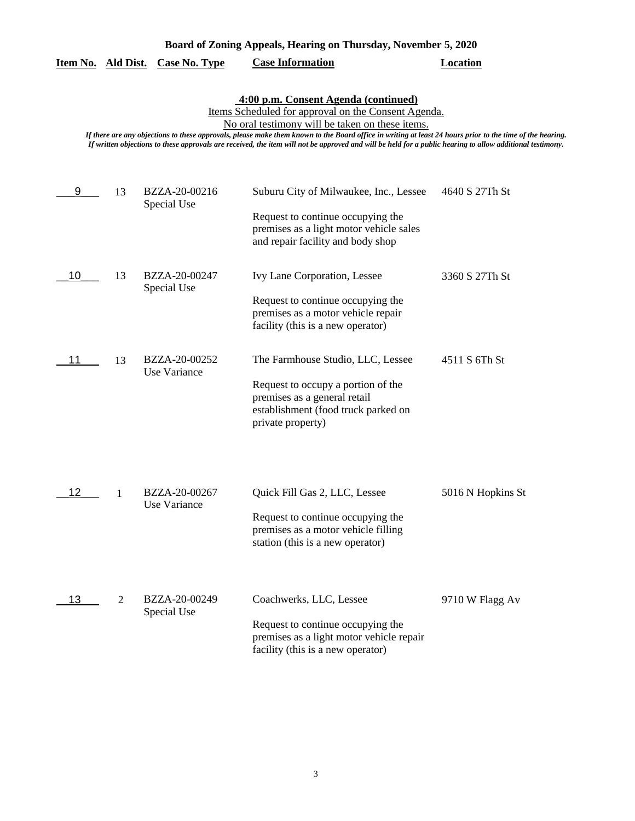|  |  | Board of Zoning Appeals, Hearing on Thursday, November 5, 2020 |  |  |
|--|--|----------------------------------------------------------------|--|--|
|  |  |                                                                |  |  |

|  | Item No. Ald Dist. | <b>Case No. Type</b> | <b>Case Information</b> | Location |
|--|--------------------|----------------------|-------------------------|----------|
|--|--------------------|----------------------|-------------------------|----------|

#### **4:00 p.m. Consent Agenda (continued)**

Items Scheduled for approval on the Consent Agenda.

No oral testimony will be taken on these items.

*If there are any objections to these approvals, please make them known to the Board office in writing at least 24 hours prior to the time of the hearing. If written objections to these approvals are received, the item will not be approved and will be held for a public hearing to allow additional testimony.*

| 9  | 13             | BZZA-20-00216<br>Special Use         | Suburu City of Milwaukee, Inc., Lessee<br>Request to continue occupying the<br>premises as a light motor vehicle sales<br>and repair facility and body shop         | 4640 S 27Th St    |
|----|----------------|--------------------------------------|---------------------------------------------------------------------------------------------------------------------------------------------------------------------|-------------------|
| 10 | 13             | BZZA-20-00247<br>Special Use         | Ivy Lane Corporation, Lessee<br>Request to continue occupying the<br>premises as a motor vehicle repair<br>facility (this is a new operator)                        | 3360 S 27Th St    |
| 11 | 13             | BZZA-20-00252<br><b>Use Variance</b> | The Farmhouse Studio, LLC, Lessee<br>Request to occupy a portion of the<br>premises as a general retail<br>establishment (food truck parked on<br>private property) | 4511 S 6Th St     |
| 12 | 1              | BZZA-20-00267<br><b>Use Variance</b> | Quick Fill Gas 2, LLC, Lessee<br>Request to continue occupying the<br>premises as a motor vehicle filling<br>station (this is a new operator)                       | 5016 N Hopkins St |
| 13 | $\overline{2}$ | BZZA-20-00249<br>Special Use         | Coachwerks, LLC, Lessee<br>Request to continue occupying the<br>premises as a light motor vehicle repair<br>facility (this is a new operator)                       | 9710 W Flagg Av   |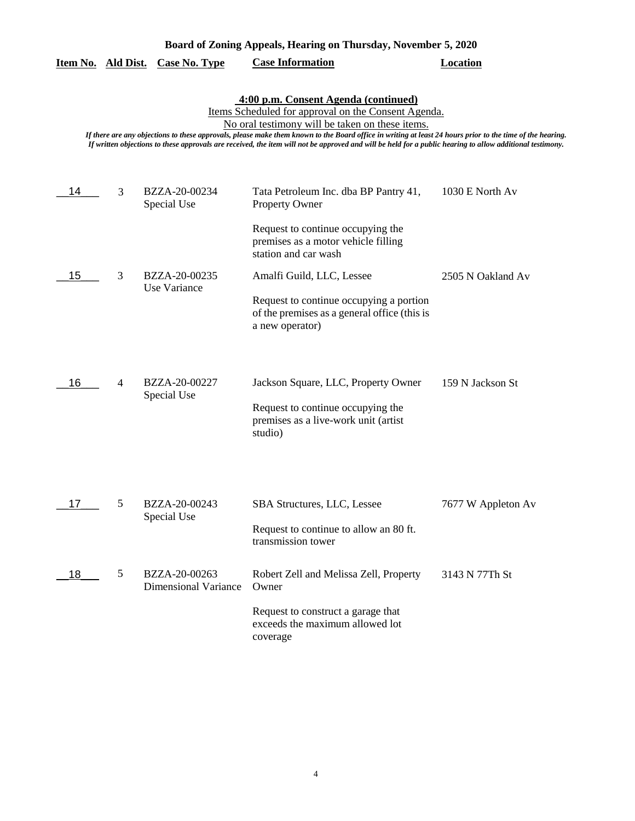| Board of Zoning Appeals, Hearing on Thursday, November 5, 2020                                                                                                                                                                                                                                                                                                                                                                                                           |   |                                              |                                                                                                            |                    |  |  |
|--------------------------------------------------------------------------------------------------------------------------------------------------------------------------------------------------------------------------------------------------------------------------------------------------------------------------------------------------------------------------------------------------------------------------------------------------------------------------|---|----------------------------------------------|------------------------------------------------------------------------------------------------------------|--------------------|--|--|
| Item No. Ald Dist.                                                                                                                                                                                                                                                                                                                                                                                                                                                       |   | <b>Case No. Type</b>                         | <b>Case Information</b>                                                                                    | <b>Location</b>    |  |  |
| 4:00 p.m. Consent Agenda (continued)<br>Items Scheduled for approval on the Consent Agenda.<br>No oral testimony will be taken on these items.<br>If there are any objections to these approvals, please make them known to the Board office in writing at least 24 hours prior to the time of the hearing.<br>If written objections to these approvals are received, the item will not be approved and will be held for a public hearing to allow additional testimony. |   |                                              |                                                                                                            |                    |  |  |
| 14                                                                                                                                                                                                                                                                                                                                                                                                                                                                       | 3 | BZZA-20-00234<br>Special Use                 | Tata Petroleum Inc. dba BP Pantry 41,<br><b>Property Owner</b>                                             | 1030 E North Av    |  |  |
|                                                                                                                                                                                                                                                                                                                                                                                                                                                                          |   |                                              | Request to continue occupying the<br>premises as a motor vehicle filling<br>station and car wash           |                    |  |  |
| 15                                                                                                                                                                                                                                                                                                                                                                                                                                                                       | 3 | BZZA-20-00235<br>Use Variance                | Amalfi Guild, LLC, Lessee                                                                                  | 2505 N Oakland Av  |  |  |
|                                                                                                                                                                                                                                                                                                                                                                                                                                                                          |   |                                              | Request to continue occupying a portion<br>of the premises as a general office (this is<br>a new operator) |                    |  |  |
| 16                                                                                                                                                                                                                                                                                                                                                                                                                                                                       | 4 | BZZA-20-00227<br>Special Use                 | Jackson Square, LLC, Property Owner                                                                        | 159 N Jackson St   |  |  |
|                                                                                                                                                                                                                                                                                                                                                                                                                                                                          |   |                                              | Request to continue occupying the<br>premises as a live-work unit (artist<br>studio)                       |                    |  |  |
| 17                                                                                                                                                                                                                                                                                                                                                                                                                                                                       | 5 | BZZA-20-00243                                | SBA Structures, LLC, Lessee                                                                                | 7677 W Appleton Av |  |  |
|                                                                                                                                                                                                                                                                                                                                                                                                                                                                          |   | Special Use                                  | Request to continue to allow an 80 ft.<br>transmission tower                                               |                    |  |  |
| 18                                                                                                                                                                                                                                                                                                                                                                                                                                                                       | 5 | BZZA-20-00263<br><b>Dimensional Variance</b> | Robert Zell and Melissa Zell, Property<br>Owner                                                            | 3143 N 77Th St     |  |  |
|                                                                                                                                                                                                                                                                                                                                                                                                                                                                          |   |                                              | Request to construct a garage that<br>exceeds the maximum allowed lot<br>coverage                          |                    |  |  |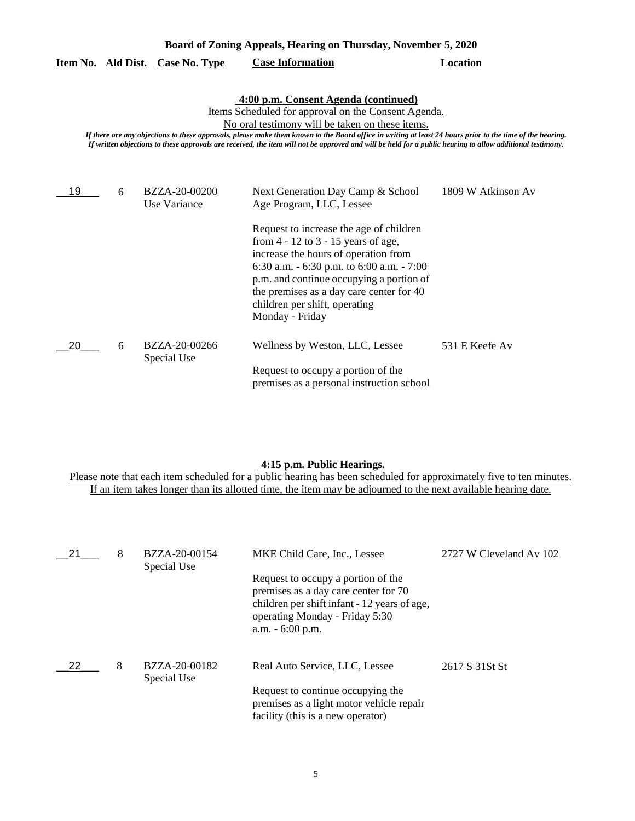| Board of Zoning Appeals, Hearing on Thursday, November 5, 2020                                                                                                                                                                                                                                                                                                                                                                                                           |   |                                         |                                                                                                                                                                                                                                                                                                                                                                                      |                    |  |
|--------------------------------------------------------------------------------------------------------------------------------------------------------------------------------------------------------------------------------------------------------------------------------------------------------------------------------------------------------------------------------------------------------------------------------------------------------------------------|---|-----------------------------------------|--------------------------------------------------------------------------------------------------------------------------------------------------------------------------------------------------------------------------------------------------------------------------------------------------------------------------------------------------------------------------------------|--------------------|--|
|                                                                                                                                                                                                                                                                                                                                                                                                                                                                          |   | <u>Item No. Ald Dist. Case No. Type</u> | <b>Case Information</b>                                                                                                                                                                                                                                                                                                                                                              | <b>Location</b>    |  |
| 4:00 p.m. Consent Agenda (continued)<br>Items Scheduled for approval on the Consent Agenda.<br>No oral testimony will be taken on these items.<br>If there are any objections to these approvals, please make them known to the Board office in writing at least 24 hours prior to the time of the hearing.<br>If written objections to these approvals are received, the item will not be approved and will be held for a public hearing to allow additional testimony. |   |                                         |                                                                                                                                                                                                                                                                                                                                                                                      |                    |  |
| 19                                                                                                                                                                                                                                                                                                                                                                                                                                                                       | 6 | BZZA-20-00200<br>Use Variance           | Next Generation Day Camp & School<br>Age Program, LLC, Lessee<br>Request to increase the age of children<br>from $4 - 12$ to $3 - 15$ years of age,<br>increase the hours of operation from<br>6:30 a.m. - 6:30 p.m. to 6:00 a.m. - 7:00<br>p.m. and continue occupying a portion of<br>the premises as a day care center for 40<br>children per shift, operating<br>Monday - Friday | 1809 W Atkinson Av |  |
| 20                                                                                                                                                                                                                                                                                                                                                                                                                                                                       | 6 | BZZA-20-00266<br>Special Use            | Wellness by Weston, LLC, Lessee<br>Request to occupy a portion of the<br>premises as a personal instruction school                                                                                                                                                                                                                                                                   | 531 E Keefe Av     |  |

#### **4:15 p.m. Public Hearings.**

| 21 | 8 | BZZA-20-00154<br>Special Use | MKE Child Care, Inc., Lessee                                                                                                                                                       | 2727 W Cleveland Av 102 |
|----|---|------------------------------|------------------------------------------------------------------------------------------------------------------------------------------------------------------------------------|-------------------------|
|    |   |                              | Request to occupy a portion of the<br>premises as a day care center for 70<br>children per shift infant - 12 years of age,<br>operating Monday - Friday 5:30<br>$a.m. - 6:00 p.m.$ |                         |
| 22 | 8 | BZZA-20-00182<br>Special Use | Real Auto Service, LLC, Lessee                                                                                                                                                     | 2617 S 31 St St         |
|    |   |                              | Request to continue occupying the<br>premises as a light motor vehicle repair<br>facility (this is a new operator)                                                                 |                         |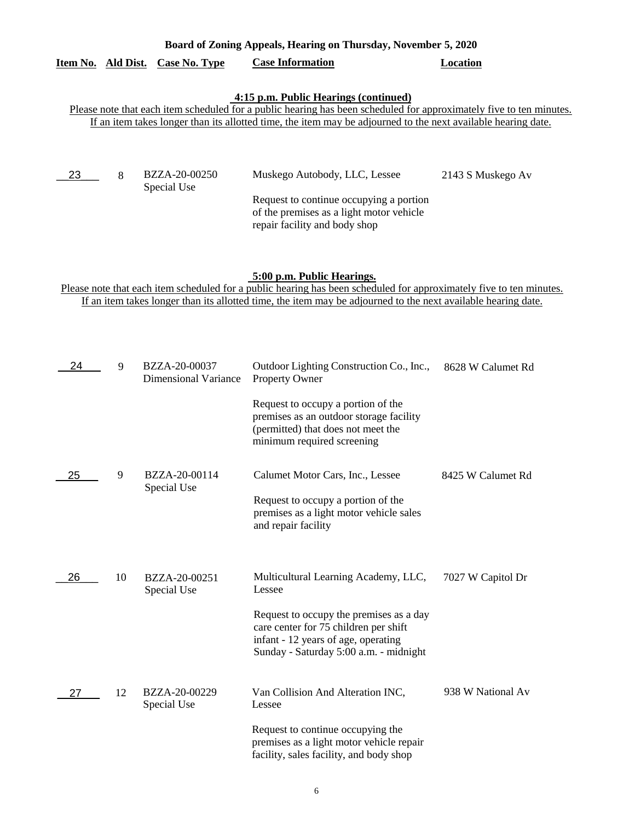# **Item No. Ald Dist. Case No. Type Case Information Location**  $-23$ **4:15 p.m. Public Hearings (continued)** Please note that each item scheduled for a public hearing has been scheduled for approximately five to ten minutes. If an item takes longer than its allotted time, the item may be adjourned to the next available hearing date.

**Board of Zoning Appeals, Hearing on Thursday, November 5, 2020** 

| BZZA-20-00250<br>Special Use | Muskego Autobody, LLC, Lessee            | 2143 S Muskego Av |
|------------------------------|------------------------------------------|-------------------|
|                              | Request to continue occupying a portion  |                   |
|                              | of the premises as a light motor vehicle |                   |
|                              | repair facility and body shop            |                   |

# **5:00 p.m. Public Hearings.**

| 24 | 9  | BZZA-20-00037<br><b>Dimensional Variance</b> | Outdoor Lighting Construction Co., Inc.,<br>Property Owner                                                                                                        | 8628 W Calumet Rd |
|----|----|----------------------------------------------|-------------------------------------------------------------------------------------------------------------------------------------------------------------------|-------------------|
|    |    |                                              | Request to occupy a portion of the<br>premises as an outdoor storage facility<br>(permitted) that does not meet the<br>minimum required screening                 |                   |
| 25 | 9  | BZZA-20-00114<br>Special Use                 | Calumet Motor Cars, Inc., Lessee                                                                                                                                  | 8425 W Calumet Rd |
|    |    |                                              | Request to occupy a portion of the<br>premises as a light motor vehicle sales<br>and repair facility                                                              |                   |
|    |    |                                              |                                                                                                                                                                   |                   |
| 26 | 10 | BZZA-20-00251<br>Special Use                 | Multicultural Learning Academy, LLC,<br>Lessee                                                                                                                    | 7027 W Capitol Dr |
|    |    |                                              | Request to occupy the premises as a day<br>care center for 75 children per shift<br>infant - 12 years of age, operating<br>Sunday - Saturday 5:00 a.m. - midnight |                   |
| 27 | 12 | BZZA-20-00229<br>Special Use                 | Van Collision And Alteration INC,<br>Lessee                                                                                                                       | 938 W National Av |
|    |    |                                              | Request to continue occupying the<br>premises as a light motor vehicle repair<br>facility, sales facility, and body shop                                          |                   |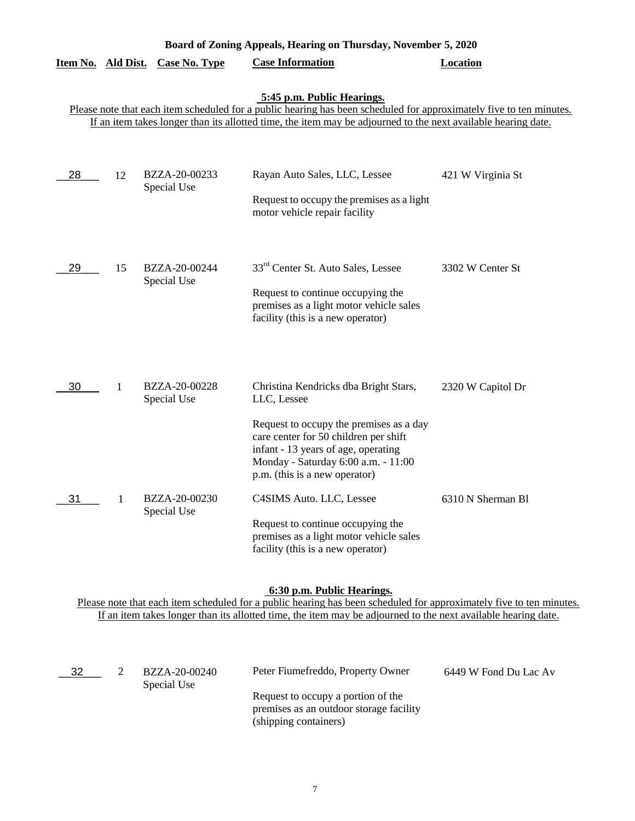| Board of Zoning Appeals, Hearing on Thursday, November 5, 2020 |    |                              |                                                                                                                                                                                                                                                                                                                                                  |                   |  |
|----------------------------------------------------------------|----|------------------------------|--------------------------------------------------------------------------------------------------------------------------------------------------------------------------------------------------------------------------------------------------------------------------------------------------------------------------------------------------|-------------------|--|
| <u>Item No. Ald Dist.</u>                                      |    | Case No. Type                | <b>Case Information</b>                                                                                                                                                                                                                                                                                                                          | Location          |  |
|                                                                |    |                              | 5:45 p.m. Public Hearings.<br>Please note that each item scheduled for a public hearing has been scheduled for approximately five to ten minutes.<br>If an item takes longer than its allotted time, the item may be adjourned to the next available hearing date.                                                                               |                   |  |
| 28                                                             | 12 | BZZA-20-00233<br>Special Use | Rayan Auto Sales, LLC, Lessee<br>Request to occupy the premises as a light<br>motor vehicle repair facility                                                                                                                                                                                                                                      | 421 W Virginia St |  |
| 29                                                             | 15 | BZZA-20-00244<br>Special Use | 33 <sup>rd</sup> Center St. Auto Sales, Lessee<br>Request to continue occupying the<br>premises as a light motor vehicle sales<br>facility (this is a new operator)                                                                                                                                                                              | 3302 W Center St  |  |
| 30                                                             | 1  | BZZA-20-00228<br>Special Use | Christina Kendricks dba Bright Stars,<br>LLC, Lessee                                                                                                                                                                                                                                                                                             | 2320 W Capitol Dr |  |
| 31                                                             | 1  | BZZA-20-00230<br>Special Use | Request to occupy the premises as a day<br>care center for 50 children per shift<br>infant - 13 years of age, operating<br>Monday - Saturday 6:00 a.m. - 11:00<br>p.m. (this is a new operator)<br>C4SIMS Auto. LLC, Lessee<br>Request to continue occupying the<br>premises as a light motor vehicle sales<br>facility (this is a new operator) | 6310 N Sherman B1 |  |

#### **6:30 p.m. Public Hearings.**

| 32 | BZZA-20-00240<br>Special Use | Peter Fiumefreddo, Property Owner                                                                      | 6449 W Fond Du Lac Av |
|----|------------------------------|--------------------------------------------------------------------------------------------------------|-----------------------|
|    |                              | Request to occupy a portion of the<br>premises as an outdoor storage facility<br>(shipping containers) |                       |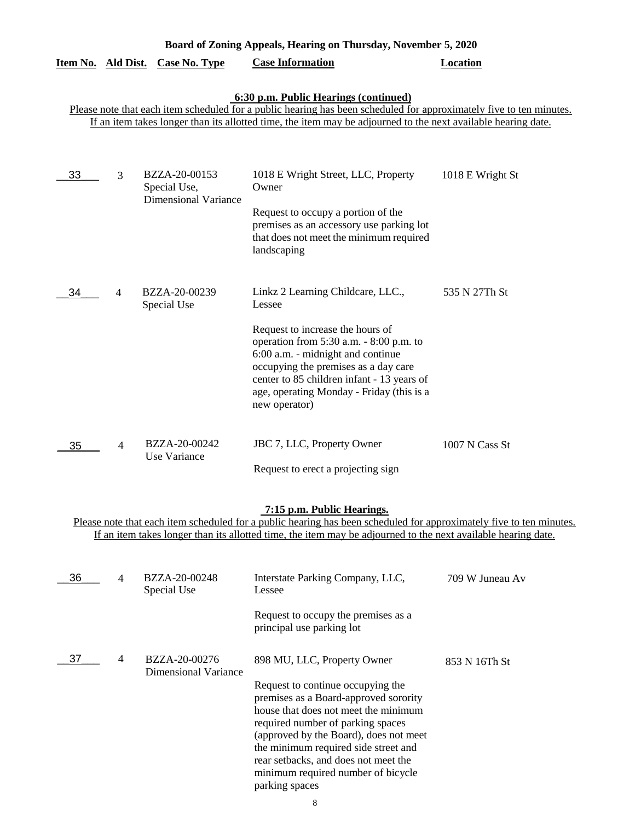| Board of Zoning Appeals, Hearing on Thursday, November 5, 2020 |                |                                                              |                                                                                                                                                                                                                                                                                                                     |                  |  |  |  |  |
|----------------------------------------------------------------|----------------|--------------------------------------------------------------|---------------------------------------------------------------------------------------------------------------------------------------------------------------------------------------------------------------------------------------------------------------------------------------------------------------------|------------------|--|--|--|--|
| Item No. Ald Dist.                                             |                | <b>Case No. Type</b>                                         | <b>Case Information</b>                                                                                                                                                                                                                                                                                             | Location         |  |  |  |  |
|                                                                |                |                                                              | 6:30 p.m. Public Hearings (continued)<br>Please note that each item scheduled for a public hearing has been scheduled for approximately five to ten minutes.<br>If an item takes longer than its allotted time, the item may be adjourned to the next available hearing date.                                       |                  |  |  |  |  |
| 33                                                             | 3              | BZZA-20-00153<br>Special Use,<br><b>Dimensional Variance</b> | 1018 E Wright Street, LLC, Property<br>Owner<br>Request to occupy a portion of the<br>premises as an accessory use parking lot<br>that does not meet the minimum required<br>landscaping                                                                                                                            | 1018 E Wright St |  |  |  |  |
| 34                                                             | 4              | BZZA-20-00239<br>Special Use                                 | Linkz 2 Learning Childcare, LLC.,<br>Lessee<br>Request to increase the hours of<br>operation from 5:30 a.m. - 8:00 p.m. to<br>6:00 a.m. - midnight and continue<br>occupying the premises as a day care<br>center to 85 children infant - 13 years of<br>age, operating Monday - Friday (this is a<br>new operator) | 535 N 27Th St    |  |  |  |  |
| 35                                                             | $\overline{4}$ | BZZA-20-00242<br>Use Variance                                | JBC 7, LLC, Property Owner<br>Request to erect a projecting sign                                                                                                                                                                                                                                                    | 1007 N Cass St   |  |  |  |  |

#### **7:15 p.m. Public Hearings.**

| 36 | 4 | BZZA-20-00248<br>Special Use          | Interstate Parking Company, LLC,<br>Lessee                                                                                                                                                                                       | 709 W Juneau Av |
|----|---|---------------------------------------|----------------------------------------------------------------------------------------------------------------------------------------------------------------------------------------------------------------------------------|-----------------|
|    |   |                                       | Request to occupy the premises as a<br>principal use parking lot                                                                                                                                                                 |                 |
| 37 | 4 | BZZA-20-00276<br>Dimensional Variance | 898 MU, LLC, Property Owner<br>Request to continue occupying the<br>premises as a Board-approved sorority<br>house that does not meet the minimum<br>required number of parking spaces<br>(approved by the Board), does not meet | 853 N 16Th St   |
|    |   |                                       | the minimum required side street and<br>rear setbacks, and does not meet the<br>minimum required number of bicycle<br>parking spaces                                                                                             |                 |